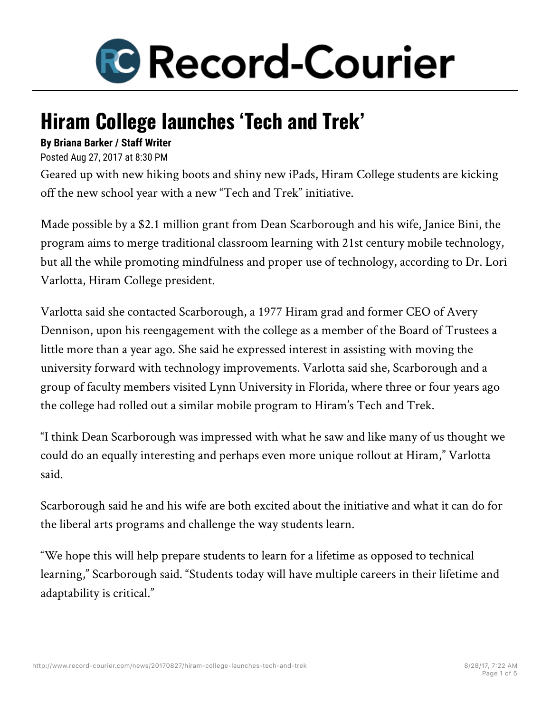

## **Hiram College launches 'Tech and Trek'**

## **By Briana Barker / Staff Writer**

Posted Aug 27, 2017 at 8:30 PM

Geared up with new hiking boots and shiny new iPads, Hiram College students are kicking off the new school year with a new "Tech and Trek" initiative.

Made possible by a \$2.1 million grant from Dean Scarborough and his wife, Janice Bini, the program aims to merge traditional classroom learning with 21st century mobile technology, but all the while promoting mindfulness and proper use of technology, according to Dr. Lori Varlotta, Hiram College president.

Varlotta said she contacted Scarborough, a 1977 Hiram grad and former CEO of Avery Dennison, upon his reengagement with the college as a member of the Board of Trustees a little more than a year ago. She said he expressed interest in assisting with moving the university forward with technology improvements. Varlotta said she, Scarborough and a group of faculty members visited Lynn University in Florida, where three or four years ago the college had rolled out a similar mobile program to Hiram's Tech and Trek.

"I think Dean Scarborough was impressed with what he saw and like many of us thought we could do an equally interesting and perhaps even more unique rollout at Hiram," Varlotta said.

Scarborough said he and his wife are both excited about the initiative and what it can do for the liberal arts programs and challenge the way students learn.

"We hope this will help prepare students to learn for a lifetime as opposed to technical learning," Scarborough said. "Students today will have multiple careers in their lifetime and adaptability is critical."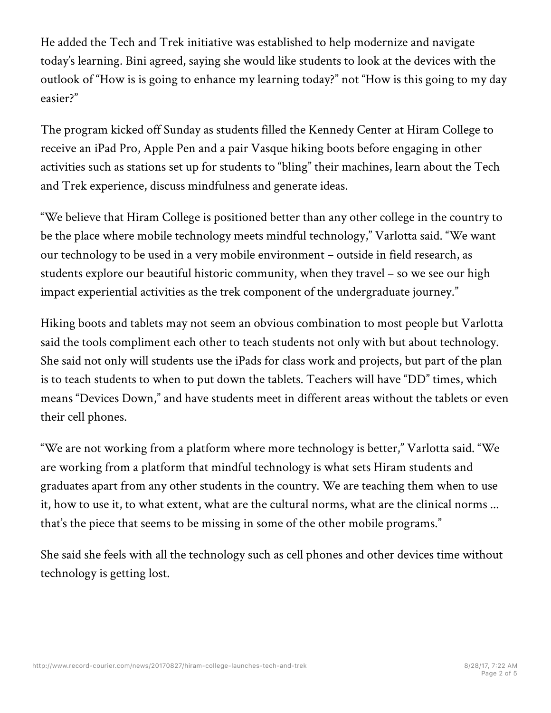He added the Tech and Trek initiative was established to help modernize and navigate today's learning. Bini agreed, saying she would like students to look at the devices with the outlook of "How is is going to enhance my learning today?" not "How is this going to my day easier?"

The program kicked off Sunday as students filled the Kennedy Center at Hiram College to receive an iPad Pro, Apple Pen and a pair Vasque hiking boots before engaging in other activities such as stations set up for students to "bling" their machines, learn about the Tech and Trek experience, discuss mindfulness and generate ideas.

"We believe that Hiram College is positioned better than any other college in the country to be the place where mobile technology meets mindful technology," Varlotta said. "We want our technology to be used in a very mobile environment – outside in field research, as students explore our beautiful historic community, when they travel – so we see our high impact experiential activities as the trek component of the undergraduate journey."

Hiking boots and tablets may not seem an obvious combination to most people but Varlotta said the tools compliment each other to teach students not only with but about technology. She said not only will students use the iPads for class work and projects, but part of the plan is to teach students to when to put down the tablets. Teachers will have "DD" times, which means "Devices Down," and have students meet in different areas without the tablets or even their cell phones.

"We are not working from a platform where more technology is better," Varlotta said. "We are working from a platform that mindful technology is what sets Hiram students and graduates apart from any other students in the country. We are teaching them when to use it, how to use it, to what extent, what are the cultural norms, what are the clinical norms ... that's the piece that seems to be missing in some of the other mobile programs."

She said she feels with all the technology such as cell phones and other devices time without technology is getting lost.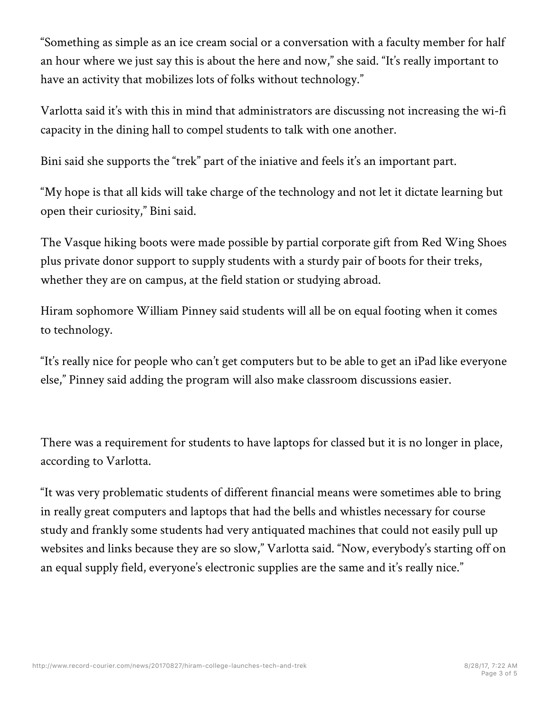"Something as simple as an ice cream social or a conversation with a faculty member for half an hour where we just say this is about the here and now," she said. "It's really important to have an activity that mobilizes lots of folks without technology."

Varlotta said it's with this in mind that administrators are discussing not increasing the wi-fi capacity in the dining hall to compel students to talk with one another.

Bini said she supports the "trek" part of the iniative and feels it's an important part.

"My hope is that all kids will take charge of the technology and not let it dictate learning but open their curiosity," Bini said.

The Vasque hiking boots were made possible by partial corporate gift from Red Wing Shoes plus private donor support to supply students with a sturdy pair of boots for their treks, whether they are on campus, at the field station or studying abroad.

Hiram sophomore William Pinney said students will all be on equal footing when it comes to technology.

"It's really nice for people who can't get computers but to be able to get an iPad like everyone else," Pinney said adding the program will also make classroom discussions easier.

There was a requirement for students to have laptops for classed but it is no longer in place, according to Varlotta.

"It was very problematic students of different financial means were sometimes able to bring in really great computers and laptops that had the bells and whistles necessary for course study and frankly some students had very antiquated machines that could not easily pull up websites and links because they are so slow," Varlotta said. "Now, everybody's starting off on an equal supply field, everyone's electronic supplies are the same and it's really nice."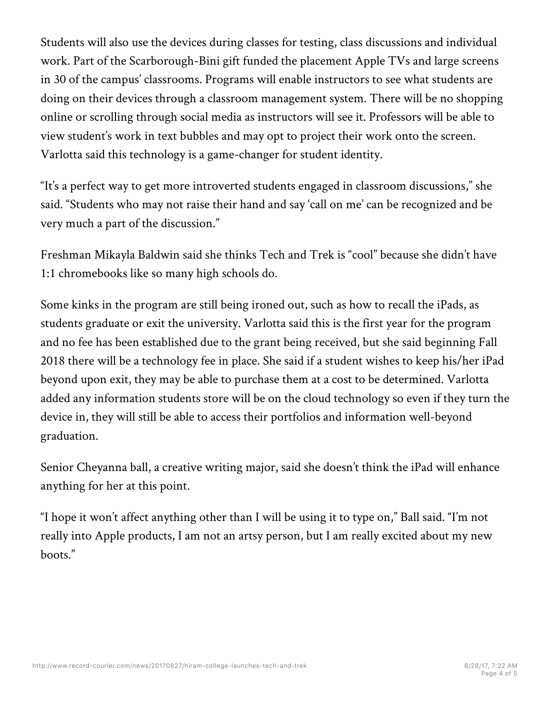Students will also use the devices during classes for testing, class discussions and individual work. Part of the Scarborough-Bini gift funded the placement Apple TVs and large screens in 30 of the campus' classrooms. Programs will enable instructors to see what students are doing on their devices through a classroom management system. There will be no shopping online or scrolling through social media as instructors will see it. Professors will be able to view student's work in text bubbles and may opt to project their work onto the screen. Varlotta said this technology is a game-changer for student identity.

"It's a perfect way to get more introverted students engaged in classroom discussions," she said. "Students who may not raise their hand and say 'call on me' can be recognized and be very much a part of the discussion."

Freshman Mikayla Baldwin said she thinks Tech and Trek is "cool" because she didn't have 1:1 chromebooks like so many high schools do.

Some kinks in the program are still being ironed out, such as how to recall the iPads, as students graduate or exit the university. Varlotta said this is the first year for the program and no fee has been established due to the grant being received, but she said beginning Fall 2018 there will be a technology fee in place. She said if a student wishes to keep his/her iPad beyond upon exit, they may be able to purchase them at a cost to be determined. Varlotta added any information students store will be on the cloud technology so even if they turn the device in, they will still be able to access their portfolios and information well-beyond graduation.

Senior Cheyanna ball, a creative writing major, said she doesn't think the iPad will enhance anything for her at this point.

"I hope it won't affect anything other than I will be using it to type on," Ball said. "I'm not really into Apple products, I am not an artsy person, but I am really excited about my new boots."